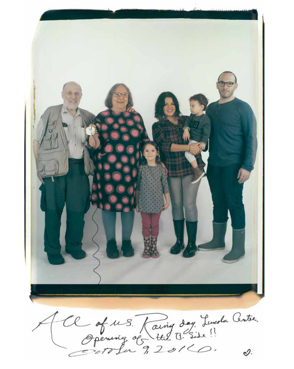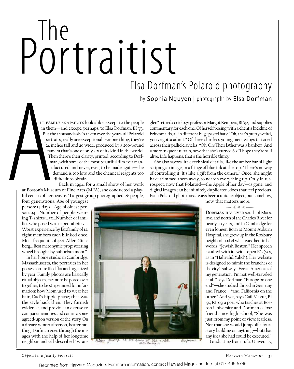# Portraitist Elsa Dorfman's Polaroid photography

by Sophia Nguyen | photographs by Elsa Dorfman

LL FAM<br>
in ther<br>
But the<br>
portr<br>
Put the<br>
portr<br>
24 in<br>
cam<br>
The<br>
m<br>
m<br>
u<br>
u<br>
u<br>
u<br>
u<br>
c<br>
tu cam<br>
four generations of her<br>
four generations ll family snapshots look alike, except to the people in them—and except, perhaps, to Elsa Dorfman, BI '73. But the thousands she's taken over the years, all Polaroid portraits, really are exceptional. For one thing, they're 24 inches tall and 20 wide, produced by a 200-pound camera that's one of only six of its kind in the world. Then there's their clarity, printed, according to Dorfman, with some of the most beautiful film ever manufactured and never, ever, to be made again—the demand is too low, and the chemical reagents too difficult to obtain.

Back in 1994, for a small show of her work at Boston's Museum of Fine Arts (MFA), she conducted a playful census of her oeuvre. "Largest group photographed: 26 people,

four generations. Age of youngest person: 14 days.…Age of oldest person: 94.…Number of people wearing T-shirts: 437.…Number of families who posed with a pet rabbit: 3.… Worst experience by far: family of 12; eight members each blinked once. Most frequent subject: Allen Ginsberg.…Best metonymic prop: steering wheel brought by suburban mom."

In her home studio in Cambridge, Massachusetts, the portraits in her possession are filed flat and organized by year. Family photos are basically ritual objects, meant to be pored over together, to be strip-mined for information: how Mom used to wear her hair; Dad's hippie phase; that was the style back then. They furnish evidence, and provide an excuse to compare memories and come to some agreed-upon version of the story. On a dreary winter afternon, heater rattling, Dorfman goes through the images with the help of her longtime neighbor and self-described "wrangler," retired sociology professor Margot Kempers, BI '92, and supplies commentary for each one. Of herself posing with a client's kickline of bridesmaids, all in different huge pastel hats: "Oh, that's pretty weird, you've gotta admit." Of three shirtless young men, wings tattooed across their pallid clavicles: "Oh! Oh! Their father was a banker!" And a more frequent refrain, now that she's turned 80: "I hope they're still alive. Life happens, that's the horrible thing."

She also savors little technical details, like the amber bar of light striping an image, or a fringe of blue ink at the top: "There's no way of controlling it. It's like a gift from the camera." Once, she might have trimmed them away, to neaten everything up. Only in retrospect, now that Polaroid—the Apple of her day—is gone, and digital images can be infinitely duplicated, does that feel precious. Each Polaroid photo has always been a unique object, but somehow,



now, that matters more.  $-***-$ 

Dorfman has lived south of Mass. Ave. and north of the Charles River for nearly 50 years, and in Cambridge for even longer. Born at Mount Auburn Hospital, she grew up in the Roxbury neighborhood of what was then, in her words, "Jewish Boston." Her speech is salted with its wide-open R's (yes, as in "Hahvahd Yahd"). Her website is designed to mimic the branches of the city's subway. "For an American of my generation, I'm not well-traveled at all," says Dorfman. "Europe on one end"—she studied abroad in Germany and France—"and California on the other." And yet, says Gail Mazur, BI '97, RI '09, a poet who teaches at Boston University and Dorfman's close friend since high school, "She was just, from my point of view, fearless. Not that she would jump off a fourstory building or anything—but that any idea she had could be executed." Graduating from Tufts University,

*Opposite: a family portrait*  $\overline{31}$ 

Reprinted from Harvard Magazine. For more information, contact Harvard Magazine, Inc. at 617-495-5746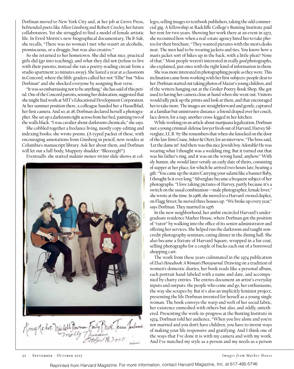Dorfman moved to New York City and, at her job at Grove Press, befriended poets like Allen Ginsberg and Robert Creeley, her future collaborators. Yet she struggled to find a model of female artistic life. In Errol Morris's new biographical documentary, *The B-Side*, she recalls, "There was no woman I met who wasn't an alcoholic, promiscuous, or a druggie, but was also creative."

So she returned to her hometown. She did what nice, practical girls did (go into teaching), and what they did not (refuse to live with their parents; instead she ran a poetry-reading circuit from a studio apartment 20 minutes away). She lasted a year at a classroom in Concord, where the fifth-graders called her not "Ellie" but "Miss Dorfman" and she shocked everyone by assigning Beat verse.

"It was so embarrassing not to be anything," she has said of this period. One of the Concord parents, sensing her dislocation, suggested that she might find work at MIT's Educational Development Corporation. At her summer position there, a colleague handed her a Hasselblad, her first camera. And so, at 28, Dorfman declared herself a photographer. She set up a darkroom right across from her bed, painting two of the walls black. "I was cavalier about darkroom chemicals," she says.

She cobbled together a freelance living, mostly copy-editing and indexing books; she wrote poems. (A typed packet of these, with encouraging annotations from Ginsberg in pencil, now resides at Columbia's manuscript library. Ask her about them, and Dorfman will let out a full-body, Muppety shudder: "Bleeeeegh!")

Eventually, she started making money giving slide shows at col-



leges, selling images to textbook publishers, taking the odd commercial gig. A fellowship at Radcliffe College's Bunting Institute paid her rent for two years. Showing her work there at an event in 1972, she recounted how when a real-estate agency hired her to take photos for their brochure, "They wanted pictures with the men's desks neat. The men had to be wearing jackets and ties. You know how a man's jacket sort of hikes up in the back, with a little pleat? None of that." Most people weren't interested in really *good* photographs, she explained, just ones with the right kind of information in them.

She was more interested in photographing people as they were. This inclination came from working with her first subjects: people dear to her. Dorfman started out taking photos of Mazur's young children, and of the writers hanging out at the Grolier Poetry Book Shop. She got used to having her camera close at hand when she went out. Visitors would idly pick up the prints and look at them, and that encouraged her to take more. The images are straightforward and gentle, captured at a familiar but unintrusive distance: a friend draped over her couch, face down, for a nap; another cross-legged in her kitchen.

While working on an article about marijuana legalization, Dorfman met a young criminal-defense lawyer fresh out of Harvard, Harvey Silverglate, LL.B. '67. She remembers that when she knocked on the door of the law firm Crane, Inker & Oteri, for an interview, "The boss said, 'Let the dame in!' And there was this nice Jewish boy. Adorable! He was wearing what I thought was a wedding ring. But it turned out that was his father's ring, and it was on the wrong hand, anyhow." With sly humor, she would later versify an early date of theirs, consisting of supper at her place, for which he arrived two hours late, bearing a gift: "You came up the stairs/Carrying your salami like a banner/Baby, I thought/Is it ever long." Silverglate became a frequent subject of her photographs. "I love taking pictures of Harvey, partly because it's a switch on the usual combination—male photographer, female lover," she wrote at the time. In 1968, she moved to a Harvard-owned duplex, on Flagg Street; he moved three houses up. "We broke up every year," says Dorfman. They married in 1976.

In the new neighborhood, her ambit encircled Harvard's undergraduate residence Mather House, where Dorfman got the position of "tutor" by walking into the office of its senior administrator and offering her services. She helped run the darkroom and taught noncredit photography seminars, eating dinner in the dining hall. She also became a fixture of Harvard Square, wrapped in a fur coat, selling photographs for a couple of bucks each out of a borrowed shopping cart.

The work from these years culminated in the 1974 publication of *Elsa's Housebook: A Woman's Photojournal.* Drawing on a tradition of women's domestic diaries, her book reads like a personal album, each portrait hand-labeled with a name and date, and accompanied by chatty entries. The entries document an artist's everyday inputs and outputs: the people who come and go, her enthusiasms, the way she scrapes by. But it's also an implicitly feminist project, presenting the life Dorfman invented for herself as a young single woman. The book conveys the warp and weft of her social fabric, her existence enmeshed with others but also, and oddly, untethered. Presenting the work-in-progress at the Bunting Institute in 1974, Dorfman told her audience, "When you live alone and you're not married and you don't have children, you have to invent ways of making your life responsive and gratifying. And I think one of the ways that I've done it is with my camera and with my work. And I've matched my style as a person and my needs as a person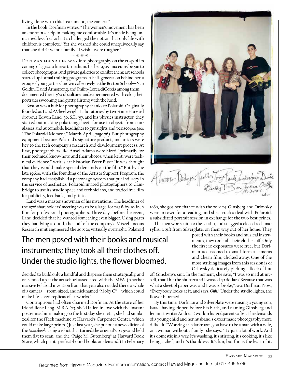living alone with this instrument, the camera."

In the book, Dorfman writes, "The women's movement has been an enormous help in making me comfortable. It's made being unmarried less freakish; it's challenged the notion that only life with children is complete." Yet she wished she could unequivocally say that she didn't want a family. "I wish I were tougher."

#### $*$   $*$   $*$   $*$

DORFMAN FOUND HER WAY into photography on the cusp of its coming of age as a fine-arts medium. In the 1970s, museums began to collect photographs, and private galleries to exhibit them; art schools started up formal training programs. A half-generation behind her, a group of young artists known collectively as the Boston School—Nan Goldin, David Armstrong, and Philip-Lorca diCorcia among them documented the city's subcultures and experimented with color, their portraits swooning and gritty, flirting with the lurid.

Boston was a hub for photography thanks to Polaroid. Originally founded as Land-Wheelwright Laboratories by two-time Harvard dropout Edwin Land '30, S.D. '57, and his physics instructor, they started out making polarizing sheets for use in objects from sunglasses and automobile headlights to gunsights and periscopes (see "The Polaroid Moment," March-April, page 76). But photography equipment became Polaroid's signature product, and artists were key to the tech company's research and development process. At first, photographers like Ansel Adams were hired "primarily for their technical know-how, and their photos, when kept, were technical evidence," writes art historian Peter Buse: "it was thought that they would make special demands on the film." But by the late 1960s, with the founding of the Artists Support Program, the company had established a patronage system that put industry in the service of aesthetics. Polaroid invited photographers to Cambridge to use its studio space and technicians, and traded free film for publicity, feedback, and prints.

Land was a master showman of his inventions. The headliner of the 1976 shareholders' meeting was to be a large-format 8-by-10-inch film for professional photographers. Three days before the event, Land decided that he wanted something even bigger. Using parts they had lying around, the staff of the company's Miscellaneous Research unit engineered the 20 x 24 virtually overnight. Polaroid

### The men posed with their books and musical instruments; they took all their clothes off. Under the studio lights, the flower bloomed.

decided to build only a handful and disperse them strategically, and one ended up at the art school associated with the MFA. (Another massive Polaroid invention from that year also resided there: a whale of a camera—room-sized, and nicknamed "Moby C"—which could make life-sized replicas of artworks.)

Contraptions had often charmed Dorfman. At the store of her friend Ilene Lang, M.B.A. '73, she'd fallen in love with the instant poster machine, making 60 the first day she met it; she had similar zeal for the iTech machine at Harvard's Carpenter Center, which could make large prints. (Just last year, she put out a new edition of the *Housebook*, using a robot that turned the original's pages and held them flat to scan, and the "Paige M. Gutenberg" at Harvard Book Store, which prints perfect-bound books on demand.) In February



1980, she got her chance with the 20 x 24. Ginsberg and Orlovsky were in town for a reading, and she struck a deal with Polaroid: a subsidized portrait session in exchange for the two best prints.

The men wore suits to the studio, and snagged a closed red amaryllis, a gift from Silverglate, on their way out of her home. They

> posed with their books and musical instruments; they took all their clothes off. Only the first 10 exposures were free, but Dorfman, accustomed to small-format cameras and cheap film, clicked away. One of the most striking images from this session is of Orlovsky delicately picking a fleck of lint

off Ginsberg's suit. In the moment, she says, "I was so mad at myself, that I hit the shutter and I wasted 50 dollars! Because that was what a sheet of paper was, and I was so broke," says Dorfman. Now, "Everybody looks at it, and says, *Ohh*." Under the studio lights, the flower bloomed.

By this time, Dorfman and Silverglate were raising a young son, Isaac, having eloped before his birth, and naming Ginsberg and feminist writer Andrea Dworkin his godparents after. The demands of a young child and her husband's career made photography more difficult. "Working the darkroom, you have to be a man with a wife, or a woman without a family," she says. "It's just a lot of work. And it's domestic in a way. It's washing, it's stirring, it's cooking, it's like being a chef, and it's thankless. It's fun, but fun is the least of it.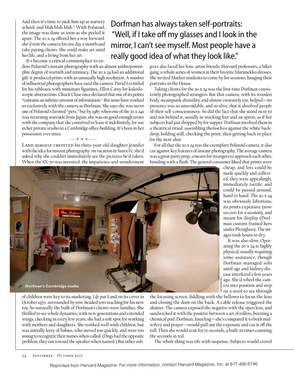And then it's time to pick him up at nursery school, and blah blah blah." With Polaroid, the image was done as soon as she peeled it apart. The 20 x 24 offered her a way forward: she'd rent the camera for one day a month and take paying clients. She could make art amid her life, and a living from her art.

It's become a critical commonplace to en-

dow Polaroid's instant photography with an almost anthropomorphic degree of warmth and intimacy. The 20 x 24 had an additional gift: it produced prints with an unusually high resolution. A number of influential photographers have used the camera: David Levinthal for his tableaux with miniature figurines, Ellen Carey for kaleidoscopic abstractions. Chuck Close once declared that one of its prints "contains an infinite amount of information." But none have worked so exclusively with the camera as Dorfman. She says she was never one of Polaroid's favored "pets," but by 1987, when one of the 20 x 24s was returning stateside from Japan, she was on good enough terms with the company that she contrived to lease it indefinitely, for use in her private studio in a Cambridge office building. It's been in her possession ever since.  $-$  \* \* \*.

LAND HIMSELF CREDITED his three-year-old daughter Jennifer with the idea for instant photography: on vacation in Santa Fe, she'd asked why she couldn't immediately see the pictures he'd taken. When the SX-70 was invented, the impatience and wonderment

# Dorfman has always taken self-portraits: "Well, if I take off my glasses and I look in the mirror, I can't see myself. Most people have a really good idea of what they look like."

jects also faced her lens: artist friends, Harvard professors, a biker gang, a whole series of women in their favorite Marimekko dresses. She invited Mather students to come by for sessions, hanging their portraits in the House.

Taking clients for the 20 x 24 was the first time Dorfman consistently photographed strangers. But that camera, with its wooden body, steampunk absurdity, and almost creaturely eye, helped—its presence was so unavoidable, and so alive, that it absolved people of their self-consciousness. So did the fact that she stood next to and not behind it, usually in stocking feet and an apron, as if her subjects had just dropped by for supper. Dorfman involved them in a theatrical ritual: assembling themselves against the white backdrop, holding still, checking the print, then getting back to place for the next shot.

For all that the 20 x 24 was the exemplary Polaroid camera, it also cut against key features of instant photography. The average camera was a great party prop, a means for strangers to approach each other, bonding with a flash. The general consumer liked that prints were cheap, and lots could be

> made quickly and collected; they were appealingly, immediately tactile, and could be passed around, hand to hand. The 20 x 24 was obviously laborious, its prints expensive (now \$10,000 for a session), and meant for display (Dorfman custom-framed hers under Plexiglass). The images took hours to dry. It was also slow. Operating the 20 x 24 is highly physical, usually requiring some assistance, though Dorfman managed solo until age and kidney disease interfered a few years ago. She'd wheel the camera into position and step



of children were key to its marketing: *Life* put Land on its cover in October 1970, surrounded by tow-headed tots reaching for his new toy. So naturally the bulk of Dorfman's clients were families. She thrilled to see whole dynasties, with new generations and extended wings, checking in every few years; she had a soft spot for working with mothers and daughters. She worked well with children, but was initially leery of babies, who moved too quickly, and were too young to recognize their names when called. (Dogs had the opposite problem; they ran toward the speaker when named.) But other sub-

 $\frac{1}{3}$  on a stool to see through the focusing screen, fiddling with the bellows to focus the lens and closing the door on the back. A cable release triggered the shutter. The camera exposed the negative with the open lens, and sandwiched it with the positive between a set of rollers, bursting a chemical pod. Dorfman, kneeling—she's compared it to both midwifery and prayer—would pull out the exposure and cut it off the roll. Then she would wait for 70 seconds, a built-in timer counting the seconds in red.

JIM HARRISON

The whole thing was rife with suspense. Subjects would crowd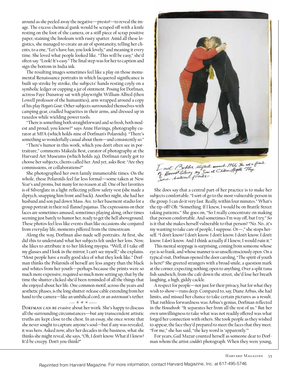around as she peeled away the negative—presto!—to reveal the image. The excess chemical gunk would be scraped off with a knife resting on the foot of the camera, or a stiff piece of scrap positive paper, staining the linoleum with rusty spatter. Amid all these logistics, she managed to create an air of spontaneity, telling her clients, to a one, "Let's have fun, you look lovely," and meaning it every time. She loved what people looked like. "This will be easy," she'd often say. "Look! It's easy." The final step was for her to caption and sign the bottom in India ink.

The resulting images sometimes feel like a play on those monumental Renaissance portraits in which lacquered significance is built up stroke by stroke, the subjects' hands resting coyly on a symbolic ledger or cupping a jar of ointment. Posing for Dorfman, actress Faye Dunaway sat with playwright William Alfred (then Lowell professor of the humanities), arm wrapped around a copy of his play *Hogan's Goat*. Other subjects surrounded themselves with camping gear, cradled baguettes in their arms, and dressed up in tuxedos while wielding power tools.

"There is something both straightforward and so fresh, both modest and proud, you know?" says Anne Havinga, photography curator at MFA (which holds nine of Dorfman's Polaroids). "There's something so wonderfully casual about them—and consistently so."

"There's humor in this work, which you don't often see in portraiture," comments Makeda Best, curator of photography at the Harvard Art Museums (which holds 29). Dorfman rarely got to choose her subjects; clients called her. And yet, asks Best: "Are they commissions, or collaborations?"

She photographed her own family innumerable times. On the whole, these Polaroids feel far less formal—some taken at New Year's and proms, but many for no reason at all. One of her favorites is of Silverglate in a light-reflecting yellow safety vest (she made a diptych, snapping him front and back). Another night, she had her husband and son pad down Mass. Ave. to her basement studio for a group portrait in their red-flannel pajamas. The expressions on their faces are sometimes amused, sometimes playing along, other times seeming just barely to humor her, ready to get the hell aboveground. These photos feel less like events than like occasions she conjured from everyday life, moments pilfered from the timestream.

Along the way, Dorfman also made self-portraits. At first, she did this to understand what her subjects felt under her lens. Now, she likes to attribute it to her lifelong myopia. "Well, if I take off my glasses and I look in the mirror, I can't see myself," she explains. "Most people have a really good idea of what they look like." Dorfman thinks the Polaroids of herself are less angsty than the black and whites from her youth—perhaps because the prints were so much more expensive, required so much more setting up, that by the time the shutter clicked she'd been reminded of all the things that she enjoyed about her life. One common motif, across the years and aesthetic phases, is the long shutter-release cable extending from her hand to the camera—like an umbilical cord, or an astronaut's tether.

#### $-***-$

DORFMAN CAN BE evasive about her work. She's happy to discuss all the surrounding circumstances—but any transcendent artistic truths are kept close to the chest. In an essay, she once wrote that she never sought to capture anyone's soul—but if any was revealed, it was hers. Asked now, after her decades in the business, what she thinks she might reveal, she says, "Oh, I don't know. What if I knew? It'd be creepy. Don't you think?"



She does say that a central part of her practice is to make her subjects comfortable. "I sort of go to the most vulnerable person in the group. I can do it very fast. Really, within four minutes." What's the tip-off? Oh: "Something. If I knew, I would be on Brattle Street taking patients." She goes on, "So I really concentrate on making that person comfortable. And sometimes I'm way off, but I try." So is it that she makes herself vulnerable to that person? "No. No...it's my wanting to take care of people, I suppose. Or—," she stops herself. "I don't know! I don't know. I don't know. I don't know. I don't know. I *don't* know. And I think actually if I knew, I would ruin it."

This mental stoppage is surprising, coming from someone whose eye is so frank, and whose manner is so unselfconsciously open. On a typical visit, Dorfman opened the door caroling, "The spirit of youth is here!" She greeted strangers with a broad smile, a question mark at the corner, expecting nothing, open to anything. Over a split tuna fish sandwich, from the café down the street, she'd lose her breath laughing, a high, giddy cackle.

A respect for people—not just for their privacy, but for what they wish to show—runs deep. Compared to, say, Diane Arbus, she had limits, and missed her chance to take certain pictures as a result. That ruthless forwardness was Arbus's genius, Dorfman reflected in the *Housebook*: "It separates her from all the rest of us." But her own unwillingness to take what was not readily offered was what forged her connection with others. She took people as they wished to appear, the face they'd prepared to meet the faces that they meet. "For me," she has said, "the key word is 'apparently.'"

For years, Gail Mazur counted herself as someone dear to Dorfman whom the artist *couldn't* photograph. When they were young,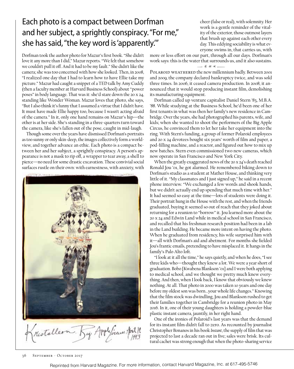## Each photo is a compact between Dorfman and her subject, a sprightly conspiracy. "For me," she has said, "the key word is 'apparently.'"

Dorfman took the author photo for Mazur's first book. "She didn't love it any more than I did," Mazur reports. "We felt that somehow we couldn't pull it off. And it had to be my fault." She didn't like the camera; she was too concerned with how she looked. Then, in 2008, "I realized one day that I had to learn how to have Ellie take my picture." Mazur had caught a snippet of a TED talk by Amy Cuddy (then a faculty member at Harvard Business School) about "power poses" in body language. That was it: she'd stare down the 20 x 24, standing like Wonder Woman. Mazur loves that photo, she says, "But I also think it's funny that I assumed a virtue that I didn't have. It must have made Ellie happy too, because I wasn't acting afraid of the camera." In it, only one hand remains on Mazur's hip—the other is at her side. She's standing in a three-quarters turn toward the camera, like she's fallen out of the pose, caught in mid-laugh.

Though some over the years have dismissed Dorfman's portraits as too sunny or only skin-deep, the images collectively form a worldview, and together advance an ethic. Each photo is a compact between her and her subject, a sprightly conspiracy. A person's appearance is not a mask to rip off, a wrapper to tear away, a shell to pierce—no need for some drastic excavation. These convivial social surfaces rustle on their own: with earnestness, with anxiety, with



cheer (false or real), with solemnity. Her work is a gentle reminder of the vitality of the exterior, those outmost layers that brush up against each other every day. This eddying sociability is what everyone swims in, that carries us, with

more or less effort on our part, through all our days. Dorfman's work says: this is the water that surrounds us, and it also sustains.

#### $-***-$

POLAROID WEATHERED the new millennium badly. Between 2001 and 2009, the company declared bankruptcy twice, and was sold three times. In 2006, it ceased camera production. In 2008, it announced that it would stop producing instant film, demolishing its manufacturing equipment.

Dorfman called up venture capitalist Daniel Stern '83, M.B.A. '88. While studying at the Business School, he'd been one of her first tenants in what was then her family's new residence in Cambridge. Over the years, she had photographed his parents, wife, and kids; when she wanted to shoot the performers of the Big Apple Circus, he convinced them to let her take her equipment into the ring. With Stern's funding, a group of former Polaroid employees and 20 x 24 devotees bought six years' worth of film and paper, a pod-filling machine, and a reactor, and figured out how to mix up new batches. Stern even commissioned two new cameras, which now operate in San Francisco and New York City.

When the greatly exaggerated news of the 20 x 24's death reached Ronald Jou '01, he got alarmed. He remembered biking down to Dorfman's studio as a student at Mather House, and thinking very little of it. "My classmates and I just signed up," he said in a recent phone interview. "We exchanged a few words and shook hands, but we didn't actually end up spending that much time with her." It had seemed so easy at the time—lots of students were doing it. Their portrait hung in the House with the rest, and when the friends graduated, buying it seemed so out of reach that they joked about returning for a reunion to "borrow" it. Jou learned more about the 20 x 24 and Edwin Land while in medical school in San Francisco, and recalled that his freshman research position had been in a lab in the Land building. He became more intent on having the photo. When he graduated from residency, his wife surprised him with it—all with Dorfman's aid and abetment. For months she fielded Jou's frantic emails, pretending to have misplaced it. It hangs in the family's Palo Alto loft.

"I look at it all the time," he says quietly, and when he does, "I see three kids who—thought they knew a lot. We were a year short of graduation. Bobo [Kwabena Blankson '01] and I were both applying to medical school, and we thought we pretty much knew everything. And then, when I look back, I know that obviously we knew nothing. At all. That photo in 2000 was taken 10 years and one day before my oldest son was born…your whole life changes." Knowing that the film stock was dwindling, Jou and Blankson rushed to get their families together in Cambridge for a reunion photo in May 2016. In it, one of their young daughters is holding a powder-blue plastic instant camera, jauntily, in her right hand.

One of the ironies of Polaroid's last years was that the demand for its instant film didn't fall to zero. As recounted by journalist Christopher Bonanos in his book *Instant*, the supply of film that was projected to last a decade ran out in five; sales were brisk. Its cultural cachet was strong enough that when the photo-sharing service

36 September - October 2017

Reprinted from Harvard Magazine. For more information, contact Harvard Magazine, Inc. at 617-495-5746